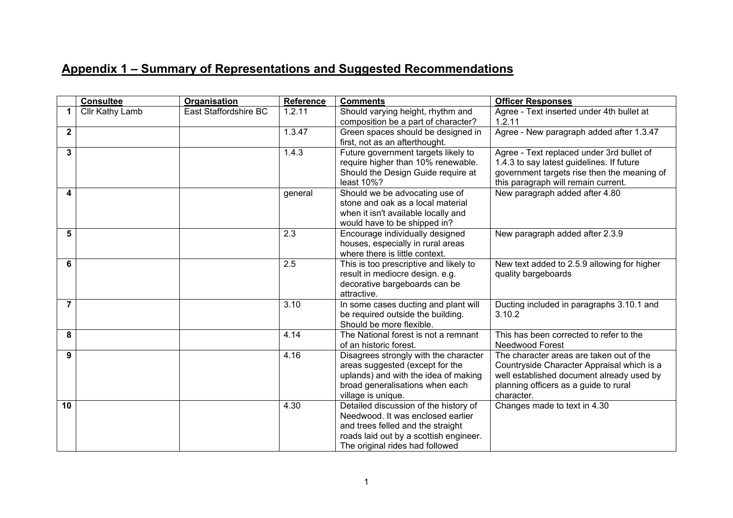## **Appendix 1 – Summary of Representations and Suggested Recommendations**

|                | <b>Consultee</b>       | <b>Organisation</b>   | Reference | <b>Comments</b>                                                                                                                                                                              | <b>Officer Responses</b>                                                                                                                                                                   |
|----------------|------------------------|-----------------------|-----------|----------------------------------------------------------------------------------------------------------------------------------------------------------------------------------------------|--------------------------------------------------------------------------------------------------------------------------------------------------------------------------------------------|
| 1              | <b>Cllr Kathy Lamb</b> | East Staffordshire BC | 1.2.11    | Should varying height, rhythm and<br>composition be a part of character?                                                                                                                     | Agree - Text inserted under 4th bullet at<br>1.2.11                                                                                                                                        |
| $\overline{2}$ |                        |                       | 1.3.47    | Green spaces should be designed in<br>first, not as an afterthought.                                                                                                                         | Agree - New paragraph added after 1.3.47                                                                                                                                                   |
| 3              |                        |                       | 1.4.3     | Future government targets likely to<br>require higher than 10% renewable.<br>Should the Design Guide require at<br>least 10%?                                                                | Agree - Text replaced under 3rd bullet of<br>1.4.3 to say latest guidelines. If future<br>government targets rise then the meaning of<br>this paragraph will remain current.               |
| 4              |                        |                       | general   | Should we be advocating use of<br>stone and oak as a local material<br>when it isn't available locally and<br>would have to be shipped in?                                                   | New paragraph added after 4.80                                                                                                                                                             |
| 5              |                        |                       | 2.3       | Encourage individually designed<br>houses, especially in rural areas<br>where there is little context.                                                                                       | New paragraph added after 2.3.9                                                                                                                                                            |
| 6              |                        |                       | 2.5       | This is too prescriptive and likely to<br>result in mediocre design. e.g.<br>decorative bargeboards can be<br>attractive.                                                                    | New text added to 2.5.9 allowing for higher<br>quality bargeboards                                                                                                                         |
| $\overline{7}$ |                        |                       | 3.10      | In some cases ducting and plant will<br>be required outside the building.<br>Should be more flexible.                                                                                        | Ducting included in paragraphs 3.10.1 and<br>3.10.2                                                                                                                                        |
| 8              |                        |                       | 4.14      | The National forest is not a remnant<br>of an historic forest.                                                                                                                               | This has been corrected to refer to the<br><b>Needwood Forest</b>                                                                                                                          |
| 9              |                        |                       | 4.16      | Disagrees strongly with the character<br>areas suggested (except for the<br>uplands) and with the idea of making<br>broad generalisations when each<br>village is unique.                    | The character areas are taken out of the<br>Countryside Character Appraisal which is a<br>well established document already used by<br>planning officers as a guide to rural<br>character. |
| 10             |                        |                       | 4.30      | Detailed discussion of the history of<br>Needwood. It was enclosed earlier<br>and trees felled and the straight<br>roads laid out by a scottish engineer.<br>The original rides had followed | Changes made to text in 4.30                                                                                                                                                               |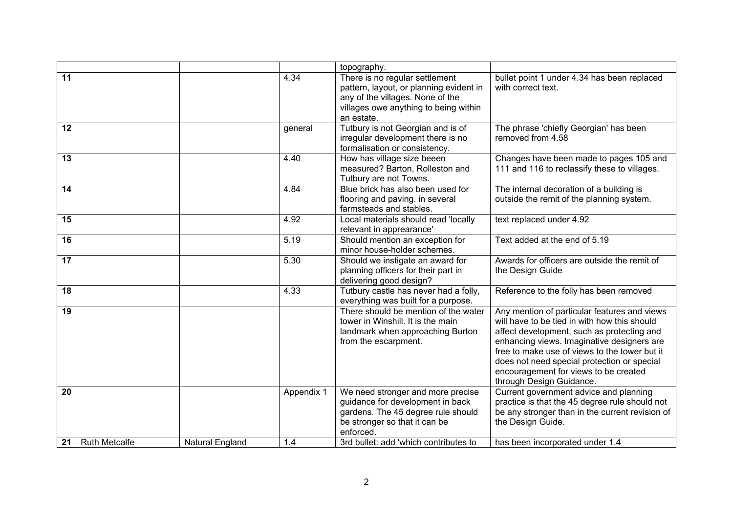|    |                      |                        |            | topography.                                                                                                                                                          |                                                                                                                                                                                                                                                                                                                                                               |
|----|----------------------|------------------------|------------|----------------------------------------------------------------------------------------------------------------------------------------------------------------------|---------------------------------------------------------------------------------------------------------------------------------------------------------------------------------------------------------------------------------------------------------------------------------------------------------------------------------------------------------------|
| 11 |                      |                        | 4.34       | There is no regular settlement<br>pattern, layout, or planning evident in<br>any of the villages. None of the<br>villages owe anything to being within<br>an estate. | bullet point 1 under 4.34 has been replaced<br>with correct text.                                                                                                                                                                                                                                                                                             |
| 12 |                      |                        | general    | Tutbury is not Georgian and is of<br>irregular development there is no<br>formalisation or consistency.                                                              | The phrase 'chiefly Georgian' has been<br>removed from 4.58                                                                                                                                                                                                                                                                                                   |
| 13 |                      |                        | 4.40       | How has village size beeen<br>measured? Barton, Rolleston and<br>Tutbury are not Towns.                                                                              | Changes have been made to pages 105 and<br>111 and 116 to reclassify these to villages.                                                                                                                                                                                                                                                                       |
| 14 |                      |                        | 4.84       | Blue brick has also been used for<br>flooring and paving. in several<br>farmsteads and stables.                                                                      | The internal decoration of a building is<br>outside the remit of the planning system.                                                                                                                                                                                                                                                                         |
| 15 |                      |                        | 4.92       | Local materials should read 'locally<br>relevant in apprearance'                                                                                                     | text replaced under 4.92                                                                                                                                                                                                                                                                                                                                      |
| 16 |                      |                        | 5.19       | Should mention an exception for<br>minor house-holder schemes.                                                                                                       | Text added at the end of 5.19                                                                                                                                                                                                                                                                                                                                 |
| 17 |                      |                        | 5.30       | Should we instigate an award for<br>planning officers for their part in<br>delivering good design?                                                                   | Awards for officers are outside the remit of<br>the Design Guide                                                                                                                                                                                                                                                                                              |
| 18 |                      |                        | 4.33       | Tutbury castle has never had a folly,<br>everything was built for a purpose.                                                                                         | Reference to the folly has been removed                                                                                                                                                                                                                                                                                                                       |
| 19 |                      |                        |            | There should be mention of the water<br>tower in Winshill. It is the main<br>landmark when approaching Burton<br>from the escarpment.                                | Any mention of particular features and views<br>will have to be tied in with how this should<br>affect development, such as protecting and<br>enhancing views. Imaginative designers are<br>free to make use of views to the tower but it<br>does not need special protection or special<br>encouragement for views to be created<br>through Design Guidance. |
| 20 |                      |                        | Appendix 1 | We need stronger and more precise<br>guidance for development in back<br>gardens. The 45 degree rule should<br>be stronger so that it can be<br>enforced.            | Current government advice and planning<br>practice is that the 45 degree rule should not<br>be any stronger than in the current revision of<br>the Design Guide.                                                                                                                                                                                              |
| 21 | <b>Ruth Metcalfe</b> | <b>Natural England</b> | 1.4        | 3rd bullet: add 'which contributes to                                                                                                                                | has been incorporated under 1.4                                                                                                                                                                                                                                                                                                                               |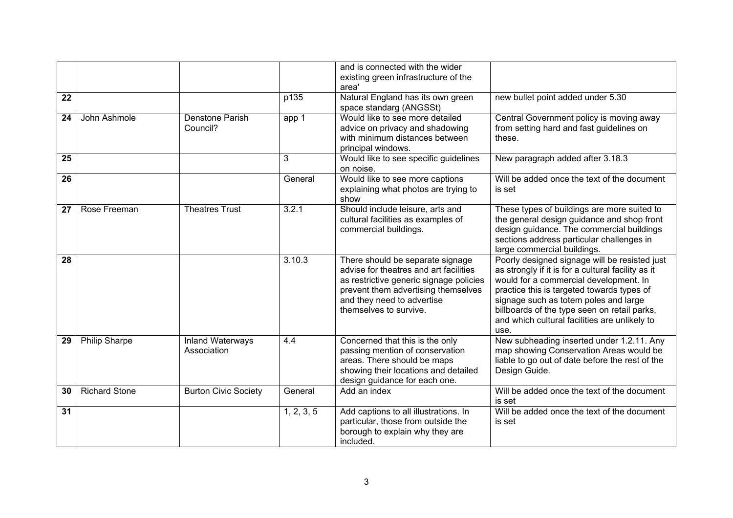|    |                      |                                        |            | and is connected with the wider<br>existing green infrastructure of the<br>area'                                                                                                                                     |                                                                                                                                                                                                                                                                                                                                               |
|----|----------------------|----------------------------------------|------------|----------------------------------------------------------------------------------------------------------------------------------------------------------------------------------------------------------------------|-----------------------------------------------------------------------------------------------------------------------------------------------------------------------------------------------------------------------------------------------------------------------------------------------------------------------------------------------|
| 22 |                      |                                        | p135       | Natural England has its own green<br>space standarg (ANGSSt)                                                                                                                                                         | new bullet point added under 5.30                                                                                                                                                                                                                                                                                                             |
| 24 | John Ashmole         | Denstone Parish<br>Council?            | app 1      | Would like to see more detailed<br>advice on privacy and shadowing<br>with minimum distances between<br>principal windows.                                                                                           | Central Government policy is moving away<br>from setting hard and fast guidelines on<br>these.                                                                                                                                                                                                                                                |
| 25 |                      |                                        | 3          | Would like to see specific guidelines<br>on noise.                                                                                                                                                                   | New paragraph added after 3.18.3                                                                                                                                                                                                                                                                                                              |
| 26 |                      |                                        | General    | Would like to see more captions<br>explaining what photos are trying to<br>show                                                                                                                                      | Will be added once the text of the document<br>is set                                                                                                                                                                                                                                                                                         |
| 27 | Rose Freeman         | <b>Theatres Trust</b>                  | 3.2.1      | Should include leisure, arts and<br>cultural facilities as examples of<br>commercial buildings.                                                                                                                      | These types of buildings are more suited to<br>the general design guidance and shop front<br>design guidance. The commercial buildings<br>sections address particular challenges in<br>large commercial buildings.                                                                                                                            |
| 28 |                      |                                        | 3.10.3     | There should be separate signage<br>advise for theatres and art facilities<br>as restrictive generic signage policies<br>prevent them advertising themselves<br>and they need to advertise<br>themselves to survive. | Poorly designed signage will be resisted just<br>as strongly if it is for a cultural facility as it<br>would for a commercial development. In<br>practice this is targeted towards types of<br>signage such as totem poles and large<br>billboards of the type seen on retail parks,<br>and which cultural facilities are unlikely to<br>use. |
| 29 | <b>Philip Sharpe</b> | <b>Inland Waterways</b><br>Association | 4.4        | Concerned that this is the only<br>passing mention of conservation<br>areas. There should be maps<br>showing their locations and detailed<br>design guidance for each one.                                           | New subheading inserted under 1.2.11. Any<br>map showing Conservation Areas would be<br>liable to go out of date before the rest of the<br>Design Guide.                                                                                                                                                                                      |
| 30 | <b>Richard Stone</b> | <b>Burton Civic Society</b>            | General    | Add an index                                                                                                                                                                                                         | Will be added once the text of the document<br>is set                                                                                                                                                                                                                                                                                         |
| 31 |                      |                                        | 1, 2, 3, 5 | Add captions to all illustrations. In<br>particular, those from outside the<br>borough to explain why they are<br>included.                                                                                          | Will be added once the text of the document<br>is set                                                                                                                                                                                                                                                                                         |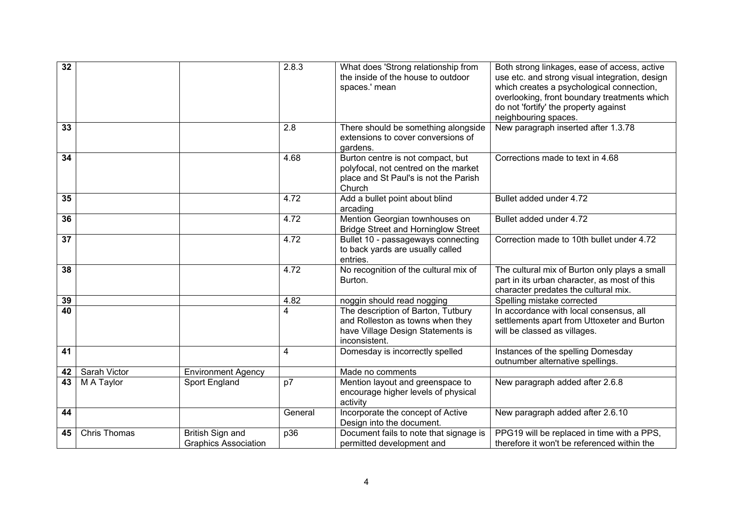| 32 |                     |                                                 | 2.8.3   | What does 'Strong relationship from<br>the inside of the house to outdoor<br>spaces.' mean                                   | Both strong linkages, ease of access, active<br>use etc. and strong visual integration, design<br>which creates a psychological connection,<br>overlooking, front boundary treatments which<br>do not 'fortify' the property against<br>neighbouring spaces. |
|----|---------------------|-------------------------------------------------|---------|------------------------------------------------------------------------------------------------------------------------------|--------------------------------------------------------------------------------------------------------------------------------------------------------------------------------------------------------------------------------------------------------------|
| 33 |                     |                                                 | 2.8     | There should be something alongside<br>extensions to cover conversions of<br>gardens.                                        | New paragraph inserted after 1.3.78                                                                                                                                                                                                                          |
| 34 |                     |                                                 | 4.68    | Burton centre is not compact, but<br>polyfocal, not centred on the market<br>place and St Paul's is not the Parish<br>Church | Corrections made to text in 4.68                                                                                                                                                                                                                             |
| 35 |                     |                                                 | 4.72    | Add a bullet point about blind<br>arcading                                                                                   | Bullet added under 4.72                                                                                                                                                                                                                                      |
| 36 |                     |                                                 | 4.72    | Mention Georgian townhouses on<br><b>Bridge Street and Horninglow Street</b>                                                 | Bullet added under 4.72                                                                                                                                                                                                                                      |
| 37 |                     |                                                 | 4.72    | Bullet 10 - passageways connecting<br>to back yards are usually called<br>entries.                                           | Correction made to 10th bullet under 4.72                                                                                                                                                                                                                    |
| 38 |                     |                                                 | 4.72    | No recognition of the cultural mix of<br>Burton.                                                                             | The cultural mix of Burton only plays a small<br>part in its urban character, as most of this<br>character predates the cultural mix.                                                                                                                        |
| 39 |                     |                                                 | 4.82    | noggin should read nogging                                                                                                   | Spelling mistake corrected                                                                                                                                                                                                                                   |
| 40 |                     |                                                 | 4       | The description of Barton, Tutbury<br>and Rolleston as towns when they<br>have Village Design Statements is<br>inconsistent. | In accordance with local consensus, all<br>settlements apart from Uttoxeter and Burton<br>will be classed as villages.                                                                                                                                       |
| 41 |                     |                                                 | 4       | Domesday is incorrectly spelled                                                                                              | Instances of the spelling Domesday<br>outnumber alternative spellings.                                                                                                                                                                                       |
| 42 | Sarah Victor        | <b>Environment Agency</b>                       |         | Made no comments                                                                                                             |                                                                                                                                                                                                                                                              |
| 43 | M A Taylor          | Sport England                                   | p7      | Mention layout and greenspace to<br>encourage higher levels of physical<br>activity                                          | New paragraph added after 2.6.8                                                                                                                                                                                                                              |
| 44 |                     |                                                 | General | Incorporate the concept of Active<br>Design into the document.                                                               | New paragraph added after 2.6.10                                                                                                                                                                                                                             |
| 45 | <b>Chris Thomas</b> | British Sign and<br><b>Graphics Association</b> | p36     | Document fails to note that signage is<br>permitted development and                                                          | PPG19 will be replaced in time with a PPS,<br>therefore it won't be referenced within the                                                                                                                                                                    |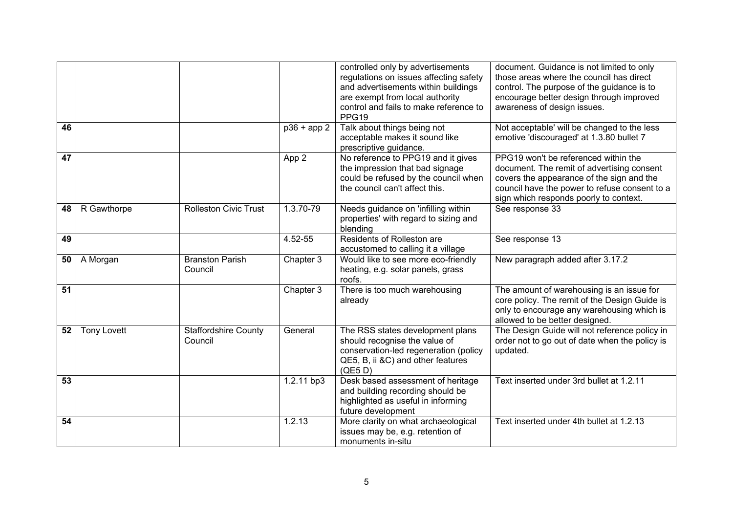|                 |                    |                                        |                          | controlled only by advertisements<br>regulations on issues affecting safety<br>and advertisements within buildings<br>are exempt from local authority<br>control and fails to make reference to<br>PPG19 | document. Guidance is not limited to only<br>those areas where the council has direct<br>control. The purpose of the guidance is to<br>encourage better design through improved<br>awareness of design issues.             |
|-----------------|--------------------|----------------------------------------|--------------------------|----------------------------------------------------------------------------------------------------------------------------------------------------------------------------------------------------------|----------------------------------------------------------------------------------------------------------------------------------------------------------------------------------------------------------------------------|
| 46              |                    |                                        | $\overline{p36}$ + app 2 | Talk about things being not<br>acceptable makes it sound like<br>prescriptive guidance.                                                                                                                  | Not acceptable' will be changed to the less<br>emotive 'discouraged' at 1.3.80 bullet 7                                                                                                                                    |
| 47              |                    |                                        | App 2                    | No reference to PPG19 and it gives<br>the impression that bad signage<br>could be refused by the council when<br>the council can't affect this.                                                          | PPG19 won't be referenced within the<br>document. The remit of advertising consent<br>covers the appearance of the sign and the<br>council have the power to refuse consent to a<br>sign which responds poorly to context. |
| 48              | R Gawthorpe        | <b>Rolleston Civic Trust</b>           | 1.3.70-79                | Needs guidance on 'infilling within<br>properties' with regard to sizing and<br>blending                                                                                                                 | See response 33                                                                                                                                                                                                            |
| 49              |                    |                                        | 4.52-55                  | Residents of Rolleston are<br>accustomed to calling it a village                                                                                                                                         | See response 13                                                                                                                                                                                                            |
| 50              | A Morgan           | <b>Branston Parish</b><br>Council      | Chapter 3                | Would like to see more eco-friendly<br>heating, e.g. solar panels, grass<br>roofs.                                                                                                                       | New paragraph added after 3.17.2                                                                                                                                                                                           |
| $\overline{51}$ |                    |                                        | Chapter 3                | There is too much warehousing<br>already                                                                                                                                                                 | The amount of warehousing is an issue for<br>core policy. The remit of the Design Guide is<br>only to encourage any warehousing which is<br>allowed to be better designed.                                                 |
| 52              | <b>Tony Lovett</b> | <b>Staffordshire County</b><br>Council | General                  | The RSS states development plans<br>should recognise the value of<br>conservation-led regeneration (policy<br>QE5, B, ii &C) and other features<br>(QE5D)                                                | The Design Guide will not reference policy in<br>order not to go out of date when the policy is<br>updated.                                                                                                                |
| 53              |                    |                                        | 1.2.11 bp3               | Desk based assessment of heritage<br>and building recording should be<br>highlighted as useful in informing<br>future development                                                                        | Text inserted under 3rd bullet at 1.2.11                                                                                                                                                                                   |
| 54              |                    |                                        | 1.2.13                   | More clarity on what archaeological<br>issues may be, e.g. retention of<br>monuments in-situ                                                                                                             | Text inserted under 4th bullet at 1.2.13                                                                                                                                                                                   |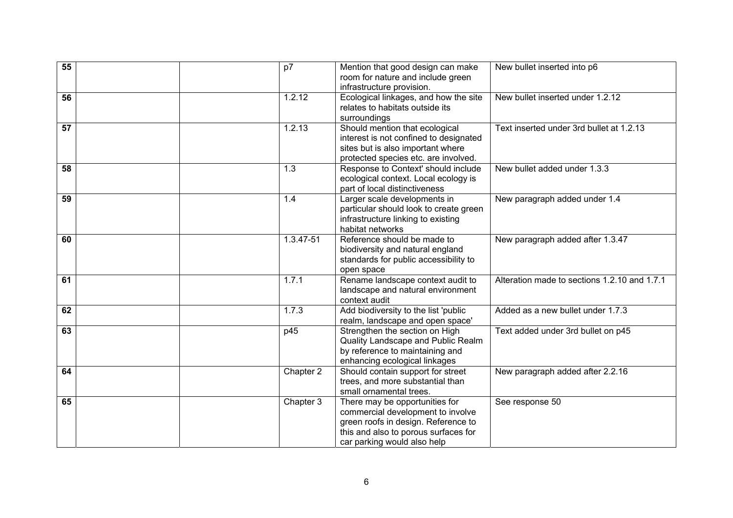| $\overline{55}$ | p7        | Mention that good design can make<br>room for nature and include green                                                                                                            | New bullet inserted into p6                  |
|-----------------|-----------|-----------------------------------------------------------------------------------------------------------------------------------------------------------------------------------|----------------------------------------------|
| 56              | 1.2.12    | infrastructure provision.<br>Ecological linkages, and how the site<br>relates to habitats outside its<br>surroundings                                                             | New bullet inserted under 1.2.12             |
| 57              | 1.2.13    | Should mention that ecological<br>interest is not confined to designated<br>sites but is also important where<br>protected species etc. are involved.                             | Text inserted under 3rd bullet at 1.2.13     |
| 58              | 1.3       | Response to Context' should include<br>ecological context. Local ecology is<br>part of local distinctiveness                                                                      | New bullet added under 1.3.3                 |
| 59              | 1.4       | Larger scale developments in<br>particular should look to create green<br>infrastructure linking to existing<br>habitat networks                                                  | New paragraph added under 1.4                |
| 60              | 1.3.47-51 | Reference should be made to<br>biodiversity and natural england<br>standards for public accessibility to<br>open space                                                            | New paragraph added after 1.3.47             |
| 61              | 1.7.1     | Rename landscape context audit to<br>landscape and natural environment<br>context audit                                                                                           | Alteration made to sections 1.2.10 and 1.7.1 |
| 62              | 1.7.3     | Add biodiversity to the list 'public<br>realm, landscape and open space'                                                                                                          | Added as a new bullet under 1.7.3            |
| 63              | p45       | Strengthen the section on High<br>Quality Landscape and Public Realm<br>by reference to maintaining and<br>enhancing ecological linkages                                          | Text added under 3rd bullet on p45           |
| 64              | Chapter 2 | Should contain support for street<br>trees, and more substantial than<br>small ornamental trees.                                                                                  | New paragraph added after 2.2.16             |
| 65              | Chapter 3 | There may be opportunities for<br>commercial development to involve<br>green roofs in design. Reference to<br>this and also to porous surfaces for<br>car parking would also help | See response 50                              |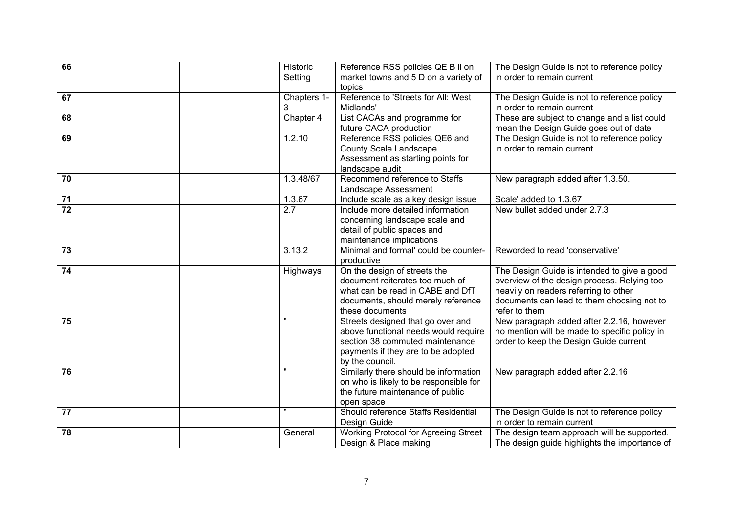| 66 | Historic           | Reference RSS policies QE B ii on                 | The Design Guide is not to reference policy   |
|----|--------------------|---------------------------------------------------|-----------------------------------------------|
|    | Setting            | market towns and 5 D on a variety of              | in order to remain current                    |
|    |                    | topics                                            |                                               |
| 67 | Chapters 1-        | Reference to 'Streets for All: West               | The Design Guide is not to reference policy   |
|    | 3                  | Midlands'                                         | in order to remain current                    |
| 68 | Chapter 4          | List CACAs and programme for                      | These are subject to change and a list could  |
|    |                    | future CACA production                            | mean the Design Guide goes out of date        |
| 69 | 1.2.10             | Reference RSS policies QE6 and                    | The Design Guide is not to reference policy   |
|    |                    | County Scale Landscape                            | in order to remain current                    |
|    |                    | Assessment as starting points for                 |                                               |
|    |                    | landscape audit                                   |                                               |
| 70 | 1.3.48/67          | Recommend reference to Staffs                     | New paragraph added after 1.3.50.             |
|    |                    | Landscape Assessment                              |                                               |
| 71 | 1.3.67             | Include scale as a key design issue               | Scale' added to 1.3.67                        |
| 72 | $\overline{2.7}$   | Include more detailed information                 | New bullet added under 2.7.3                  |
|    |                    | concerning landscape scale and                    |                                               |
|    |                    | detail of public spaces and                       |                                               |
|    |                    | maintenance implications                          |                                               |
| 73 | 3.13.2             | Minimal and formal' could be counter-             | Reworded to read 'conservative'               |
|    |                    | productive                                        |                                               |
| 74 | Highways           | On the design of streets the                      | The Design Guide is intended to give a good   |
|    |                    | document reiterates too much of                   | overview of the design process. Relying too   |
|    |                    | what can be read in CABE and DfT                  | heavily on readers referring to other         |
|    |                    | documents, should merely reference                | documents can lead to them choosing not to    |
|    | $\mathbf{u}$       | these documents                                   | refer to them                                 |
| 75 |                    | Streets designed that go over and                 | New paragraph added after 2.2.16, however     |
|    |                    | above functional needs would require              | no mention will be made to specific policy in |
|    |                    | section 38 commuted maintenance                   | order to keep the Design Guide current        |
|    |                    | payments if they are to be adopted                |                                               |
|    |                    | by the council.                                   |                                               |
| 76 |                    | Similarly there should be information             | New paragraph added after 2.2.16              |
|    |                    | on who is likely to be responsible for            |                                               |
|    |                    | the future maintenance of public                  |                                               |
|    | $\pmb{\mathsf{H}}$ | open space<br>Should reference Staffs Residential |                                               |
| 77 |                    |                                                   | The Design Guide is not to reference policy   |
|    |                    | Design Guide                                      | in order to remain current                    |
| 78 | General            | <b>Working Protocol for Agreeing Street</b>       | The design team approach will be supported.   |
|    |                    | Design & Place making                             | The design guide highlights the importance of |